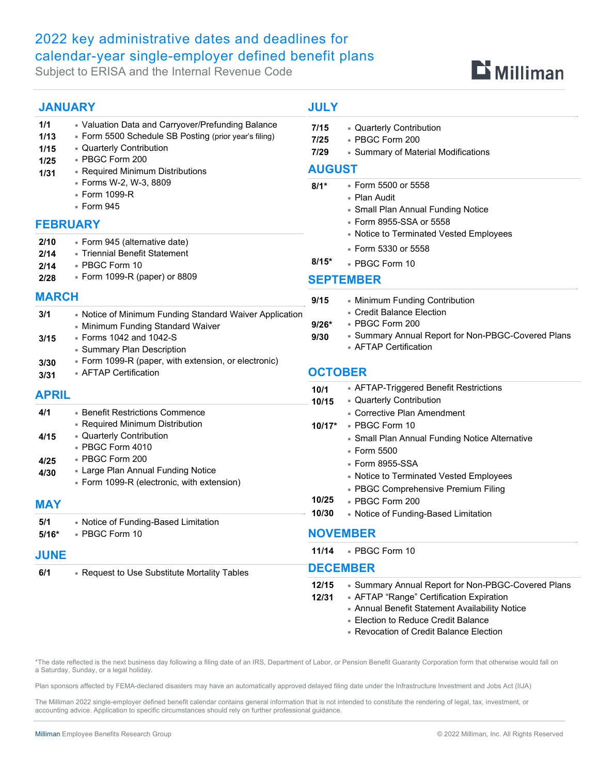## 2022 key administrative dates and deadlines for calendar-year single-employer defined benefit plans

Subject to ERISA and the Internal Revenue Code

# $\mathbf{D}$  Milliman

| <b>JANUARY</b>                            |                                                                                                                                                                                                                                      | <b>JULY</b>                                                                                                                                                                                                                                                                                                                                       |                                                                                                                                                                                                                                    |
|-------------------------------------------|--------------------------------------------------------------------------------------------------------------------------------------------------------------------------------------------------------------------------------------|---------------------------------------------------------------------------------------------------------------------------------------------------------------------------------------------------------------------------------------------------------------------------------------------------------------------------------------------------|------------------------------------------------------------------------------------------------------------------------------------------------------------------------------------------------------------------------------------|
| 1/1<br>1/13<br>1/15<br>1/25<br>1/31       | - Valuation Data and Carryover/Prefunding Balance<br>- Form 5500 Schedule SB Posting (prior year's filing)<br>- Quarterly Contribution<br>- PBGC Form 200<br>- Required Minimum Distributions                                        | 7/15<br>7/25<br>7/29<br><b>AUGUST</b>                                                                                                                                                                                                                                                                                                             | - Quarterly Contribution<br>- PBGC Form 200<br>- Summary of Material Modifications                                                                                                                                                 |
|                                           | - Forms W-2, W-3, 8809<br>- Form 1099-R<br>$=$ Form 945                                                                                                                                                                              | $8/1*$                                                                                                                                                                                                                                                                                                                                            | ■ Form 5500 or 5558<br>- Plan Audit<br>- Small Plan Annual Funding Notice                                                                                                                                                          |
| <b>FEBRUARY</b>                           |                                                                                                                                                                                                                                      |                                                                                                                                                                                                                                                                                                                                                   | ■ Form 8955-SSA or 5558                                                                                                                                                                                                            |
| 2/10<br>2/14<br>2/14<br>2/28              | - Form 945 (alternative date)<br>- Triennial Benefit Statement<br>- PBGC Form 10<br>- Form 1099-R (paper) or 8809                                                                                                                    | $8/15*$                                                                                                                                                                                                                                                                                                                                           | - Notice to Terminated Vested Employees<br>■ Form 5330 or 5558<br>- PBGC Form 10<br><b>SEPTEMBER</b>                                                                                                                               |
| <b>MARCH</b>                              |                                                                                                                                                                                                                                      | 9/15                                                                                                                                                                                                                                                                                                                                              | - Minimum Funding Contribution                                                                                                                                                                                                     |
| 3/1<br>3/15<br>3/30<br>3/31               | - Notice of Minimum Funding Standard Waiver Application<br>- Minimum Funding Standard Waiver<br>• Forms 1042 and 1042-S<br>- Summary Plan Description<br>Form 1099-R (paper, with extension, or electronic)<br>- AFTAP Certification | $9/26*$<br>9/30                                                                                                                                                                                                                                                                                                                                   | - Credit Balance Election<br>- PBGC Form 200<br>- Summary Annual Report for Non-PBGC-Covered Plans<br>- AFTAP Certification<br><b>OCTOBER</b>                                                                                      |
| <b>APRIL</b>                              |                                                                                                                                                                                                                                      | 10/1                                                                                                                                                                                                                                                                                                                                              | - AFTAP-Triggered Benefit Restrictions                                                                                                                                                                                             |
| 4/1<br>4/15<br>4/25<br>4/30<br><b>MAY</b> | <b>Benefit Restrictions Commence</b><br>- Required Minimum Distribution<br>- Quarterly Contribution<br>- PBGC Form 4010<br>- PBGC Form 200<br>- Large Plan Annual Funding Notice<br>Form 1099-R (electronic, with extension)         | - Quarterly Contribution<br>10/15<br>• Corrective Plan Amendment<br>- PBGC Form 10<br>$10/17*$<br>• Small Plan Annual Funding Notice Alternative<br>- Form 5500<br>■ Form 8955-SSA<br>- Notice to Terminated Vested Employees<br>- PBGC Comprehensive Premium Filing<br>10/25<br>- PBGC Form 200<br>10/30<br>- Notice of Funding-Based Limitation |                                                                                                                                                                                                                                    |
| 5/1<br>$5/16*$                            | - Notice of Funding-Based Limitation<br>- PBGC Form 10                                                                                                                                                                               | <b>NOVEMBER</b>                                                                                                                                                                                                                                                                                                                                   |                                                                                                                                                                                                                                    |
| <b>JUNE</b>                               |                                                                                                                                                                                                                                      | 11/14                                                                                                                                                                                                                                                                                                                                             | - PBGC Form 10                                                                                                                                                                                                                     |
| 6/1                                       | - Request to Use Substitute Mortality Tables                                                                                                                                                                                         | <b>DECEMBER</b>                                                                                                                                                                                                                                                                                                                                   |                                                                                                                                                                                                                                    |
|                                           |                                                                                                                                                                                                                                      | 12/15<br>12/31                                                                                                                                                                                                                                                                                                                                    | - Summary Annual Report for Non-PBGC-Covered Plans<br>- AFTAP "Range" Certification Expiration<br>- Annual Benefit Statement Availability Notice<br>- Election to Reduce Credit Balance<br>- Revocation of Credit Balance Election |

\*The date reflected is the next business day following a filing date of an IRS, Department of Labor, or Pension Benefit Guaranty Corporation form that otherwise would fall on a Saturday, Sunday, or a legal holiday.

Plan sponsors affected by FEMA-declared disasters may have an automatically approved delayed filing date under the Infrastructure Investment and Jobs Act (IIJA)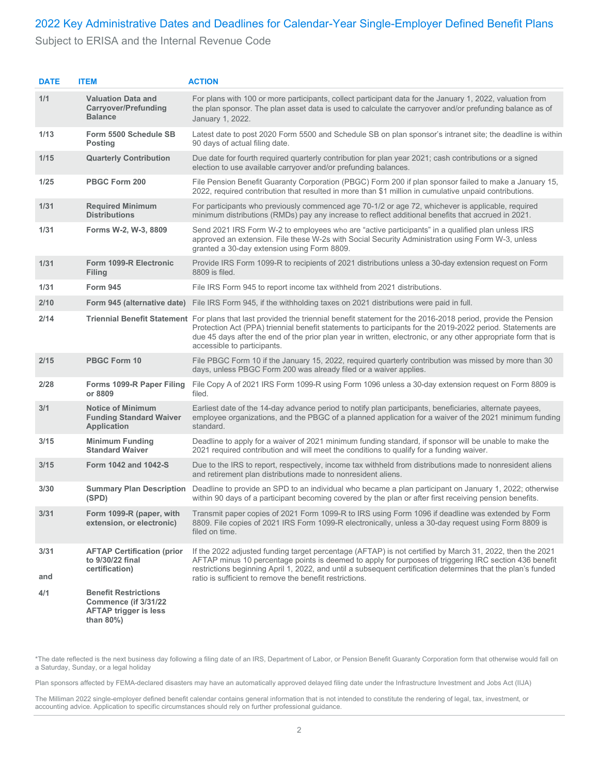#### 2022 Key Administrative Dates and Deadlines for Calendar-Year Single-Employer Defined Benefit Plans

Subject to ERISA and the Internal Revenue Code

| <b>DATE</b> | <b>ITEM</b>                                                                                          | <b>ACTION</b>                                                                                                                                                                                                                                                                                                                                                                                         |
|-------------|------------------------------------------------------------------------------------------------------|-------------------------------------------------------------------------------------------------------------------------------------------------------------------------------------------------------------------------------------------------------------------------------------------------------------------------------------------------------------------------------------------------------|
| 1/1         | <b>Valuation Data and</b><br><b>Carryover/Prefunding</b><br><b>Balance</b>                           | For plans with 100 or more participants, collect participant data for the January 1, 2022, valuation from<br>the plan sponsor. The plan asset data is used to calculate the carryover and/or prefunding balance as of<br>January 1, 2022.                                                                                                                                                             |
| 1/13        | Form 5500 Schedule SB<br><b>Posting</b>                                                              | Latest date to post 2020 Form 5500 and Schedule SB on plan sponsor's intranet site; the deadline is within<br>90 days of actual filing date.                                                                                                                                                                                                                                                          |
| 1/15        | <b>Quarterly Contribution</b>                                                                        | Due date for fourth required quarterly contribution for plan year 2021; cash contributions or a signed<br>election to use available carryover and/or prefunding balances.                                                                                                                                                                                                                             |
| 1/25        | PBGC Form 200                                                                                        | File Pension Benefit Guaranty Corporation (PBGC) Form 200 if plan sponsor failed to make a January 15,<br>2022, required contribution that resulted in more than \$1 million in cumulative unpaid contributions.                                                                                                                                                                                      |
| 1/31        | <b>Required Minimum</b><br><b>Distributions</b>                                                      | For participants who previously commenced age 70-1/2 or age 72, whichever is applicable, required<br>minimum distributions (RMDs) pay any increase to reflect additional benefits that accrued in 2021.                                                                                                                                                                                               |
| 1/31        | Forms W-2, W-3, 8809                                                                                 | Send 2021 IRS Form W-2 to employees who are "active participants" in a qualified plan unless IRS<br>approved an extension. File these W-2s with Social Security Administration using Form W-3, unless<br>granted a 30-day extension using Form 8809.                                                                                                                                                  |
| 1/31        | Form 1099-R Electronic<br>Filing                                                                     | Provide IRS Form 1099-R to recipients of 2021 distributions unless a 30-day extension request on Form<br>8809 is filed.                                                                                                                                                                                                                                                                               |
| 1/31        | <b>Form 945</b>                                                                                      | File IRS Form 945 to report income tax withheld from 2021 distributions.                                                                                                                                                                                                                                                                                                                              |
| 2/10        | Form 945 (alternative date)                                                                          | File IRS Form 945, if the withholding taxes on 2021 distributions were paid in full.                                                                                                                                                                                                                                                                                                                  |
| 2/14        |                                                                                                      | Triennial Benefit Statement For plans that last provided the triennial benefit statement for the 2016-2018 period, provide the Pension<br>Protection Act (PPA) triennial benefit statements to participants for the 2019-2022 period. Statements are<br>due 45 days after the end of the prior plan year in written, electronic, or any other appropriate form that is<br>accessible to participants. |
| 2/15        | <b>PBGC Form 10</b>                                                                                  | File PBGC Form 10 if the January 15, 2022, required quarterly contribution was missed by more than 30<br>days, unless PBGC Form 200 was already filed or a waiver applies.                                                                                                                                                                                                                            |
| 2/28        | Forms 1099-R Paper Filing<br>or 8809                                                                 | File Copy A of 2021 IRS Form 1099-R using Form 1096 unless a 30-day extension request on Form 8809 is<br>filed.                                                                                                                                                                                                                                                                                       |
| 3/1         | <b>Notice of Minimum</b><br><b>Funding Standard Waiver</b><br><b>Application</b>                     | Earliest date of the 14-day advance period to notify plan participants, beneficiaries, alternate payees,<br>employee organizations, and the PBGC of a planned application for a waiver of the 2021 minimum funding<br>standard.                                                                                                                                                                       |
| 3/15        | <b>Minimum Funding</b><br><b>Standard Waiver</b>                                                     | Deadline to apply for a waiver of 2021 minimum funding standard, if sponsor will be unable to make the<br>2021 required contribution and will meet the conditions to qualify for a funding waiver.                                                                                                                                                                                                    |
| 3/15        | Form 1042 and 1042-S                                                                                 | Due to the IRS to report, respectively, income tax withheld from distributions made to nonresident aliens<br>and retirement plan distributions made to nonresident aliens.                                                                                                                                                                                                                            |
| 3/30        | <b>Summary Plan Description</b><br>(SPD)                                                             | Deadline to provide an SPD to an individual who became a plan participant on January 1, 2022; otherwise<br>within 90 days of a participant becoming covered by the plan or after first receiving pension benefits.                                                                                                                                                                                    |
| 3/31        | extension, or electronic)                                                                            | Form 1099-R (paper, with Transmit paper copies of 2021 Form 1099-R to IRS using Form 1096 if deadline was extended by Form<br>8809. File copies of 2021 IRS Form 1099-R electronically, unless a 30-day request using Form 8809 is<br>filed on time.                                                                                                                                                  |
| 3/31<br>and | <b>AFTAP Certification (prior</b><br>to 9/30/22 final<br>certification)                              | If the 2022 adjusted funding target percentage (AFTAP) is not certified by March 31, 2022, then the 2021<br>AFTAP minus 10 percentage points is deemed to apply for purposes of triggering IRC section 436 benefit<br>restrictions beginning April 1, 2022, and until a subsequent certification determines that the plan's funded<br>ratio is sufficient to remove the benefit restrictions.         |
| 4/1         | <b>Benefit Restrictions</b><br>Commence (if 3/31/22<br><b>AFTAP trigger is less</b><br>than $80\%$ ) |                                                                                                                                                                                                                                                                                                                                                                                                       |

\*The date reflected is the next business day following a filing date of an IRS, Department of Labor, or Pension Benefit Guaranty Corporation form that otherwise would fall on a Saturday, Sunday, or a legal holiday

Plan sponsors affected by FEMA-declared disasters may have an automatically approved delayed filing date under the Infrastructure Investment and Jobs Act (IIJA)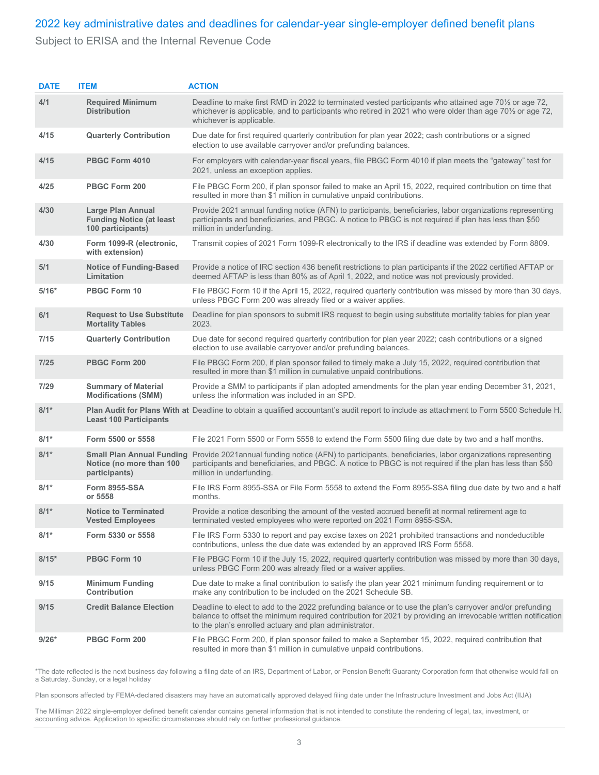#### 2022 key administrative dates and deadlines for calendar-year single-employer defined benefit plans

Subject to ERISA and the Internal Revenue Code

| <b>DATE</b> | <b>ITEM</b>                                                                      | <b>ACTION</b>                                                                                                                                                                                                                                                                       |
|-------------|----------------------------------------------------------------------------------|-------------------------------------------------------------------------------------------------------------------------------------------------------------------------------------------------------------------------------------------------------------------------------------|
| 4/1         | <b>Required Minimum</b><br><b>Distribution</b>                                   | Deadline to make first RMD in 2022 to terminated vested participants who attained age 70 <sup>1</sup> / <sub>2</sub> or age 72,<br>whichever is applicable, and to participants who retired in 2021 who were older than age $70\frac{1}{2}$ or age 72,<br>whichever is applicable.  |
| 4/15        | <b>Quarterly Contribution</b>                                                    | Due date for first required quarterly contribution for plan year 2022; cash contributions or a signed<br>election to use available carryover and/or prefunding balances.                                                                                                            |
| 4/15        | PBGC Form 4010                                                                   | For employers with calendar-year fiscal years, file PBGC Form 4010 if plan meets the "gateway" test for<br>2021, unless an exception applies.                                                                                                                                       |
| 4/25        | PBGC Form 200                                                                    | File PBGC Form 200, if plan sponsor failed to make an April 15, 2022, required contribution on time that<br>resulted in more than \$1 million in cumulative unpaid contributions.                                                                                                   |
| 4/30        | <b>Large Plan Annual</b><br><b>Funding Notice (at least</b><br>100 participants) | Provide 2021 annual funding notice (AFN) to participants, beneficiaries, labor organizations representing<br>participants and beneficiaries, and PBGC. A notice to PBGC is not required if plan has less than \$50<br>million in underfunding.                                      |
| 4/30        | Form 1099-R (electronic,<br>with extension)                                      | Transmit copies of 2021 Form 1099-R electronically to the IRS if deadline was extended by Form 8809.                                                                                                                                                                                |
| 5/1         | <b>Notice of Funding-Based</b><br>Limitation                                     | Provide a notice of IRC section 436 benefit restrictions to plan participants if the 2022 certified AFTAP or<br>deemed AFTAP is less than 80% as of April 1, 2022, and notice was not previously provided.                                                                          |
| $5/16*$     | <b>PBGC Form 10</b>                                                              | File PBGC Form 10 if the April 15, 2022, required quarterly contribution was missed by more than 30 days,<br>unless PBGC Form 200 was already filed or a waiver applies.                                                                                                            |
| 6/1         | <b>Request to Use Substitute</b><br><b>Mortality Tables</b>                      | Deadline for plan sponsors to submit IRS request to begin using substitute mortality tables for plan year<br>2023.                                                                                                                                                                  |
| 7/15        | <b>Quarterly Contribution</b>                                                    | Due date for second required quarterly contribution for plan year 2022; cash contributions or a signed<br>election to use available carryover and/or prefunding balances.                                                                                                           |
| 7/25        | PBGC Form 200                                                                    | File PBGC Form 200, if plan sponsor failed to timely make a July 15, 2022, required contribution that<br>resulted in more than \$1 million in cumulative unpaid contributions.                                                                                                      |
| 7/29        | <b>Summary of Material</b><br><b>Modifications (SMM)</b>                         | Provide a SMM to participants if plan adopted amendments for the plan year ending December 31, 2021,<br>unless the information was included in an SPD.                                                                                                                              |
| $8/1*$      | <b>Least 100 Participants</b>                                                    | Plan Audit for Plans With at Deadline to obtain a qualified accountant's audit report to include as attachment to Form 5500 Schedule H.                                                                                                                                             |
| $8/1*$      | Form 5500 or 5558                                                                | File 2021 Form 5500 or Form 5558 to extend the Form 5500 filing due date by two and a half months.                                                                                                                                                                                  |
| $8/1*$      | <b>Small Plan Annual Funding</b><br>Notice (no more than 100<br>participants)    | Provide 2021 annual funding notice (AFN) to participants, beneficiaries, labor organizations representing<br>participants and beneficiaries, and PBGC. A notice to PBGC is not required if the plan has less than \$50<br>million in underfunding.                                  |
| $8/1*$      | <b>Form 8955-SSA</b><br>or 5558                                                  | File IRS Form 8955-SSA or File Form 5558 to extend the Form 8955-SSA filing due date by two and a half<br>months.                                                                                                                                                                   |
| $8/1*$      | <b>Notice to Terminated</b><br><b>Vested Employees</b>                           | Provide a notice describing the amount of the vested accrued benefit at normal retirement age to<br>terminated vested employees who were reported on 2021 Form 8955-SSA.                                                                                                            |
| $8/1*$      | Form 5330 or 5558                                                                | File IRS Form 5330 to report and pay excise taxes on 2021 prohibited transactions and nondeductible<br>contributions, unless the due date was extended by an approved IRS Form 5558.                                                                                                |
| $8/15*$     | <b>PBGC Form 10</b>                                                              | File PBGC Form 10 if the July 15, 2022, required quarterly contribution was missed by more than 30 days,<br>unless PBGC Form 200 was already filed or a waiver applies.                                                                                                             |
| 9/15        | <b>Minimum Funding</b><br>Contribution                                           | Due date to make a final contribution to satisfy the plan year 2021 minimum funding requirement or to<br>make any contribution to be included on the 2021 Schedule SB.                                                                                                              |
| 9/15        | <b>Credit Balance Election</b>                                                   | Deadline to elect to add to the 2022 prefunding balance or to use the plan's carryover and/or prefunding<br>balance to offset the minimum required contribution for 2021 by providing an irrevocable written notification<br>to the plan's enrolled actuary and plan administrator. |
| $9/26*$     | PBGC Form 200                                                                    | File PBGC Form 200, if plan sponsor failed to make a September 15, 2022, required contribution that<br>resulted in more than \$1 million in cumulative unpaid contributions.                                                                                                        |

\*The date reflected is the next business day following a filing date of an IRS, Department of Labor, or Pension Benefit Guaranty Corporation form that otherwise would fall on a Saturday, Sunday, or a legal holiday

Plan sponsors affected by FEMA-declared disasters may have an automatically approved delayed filing date under the Infrastructure Investment and Jobs Act (IIJA)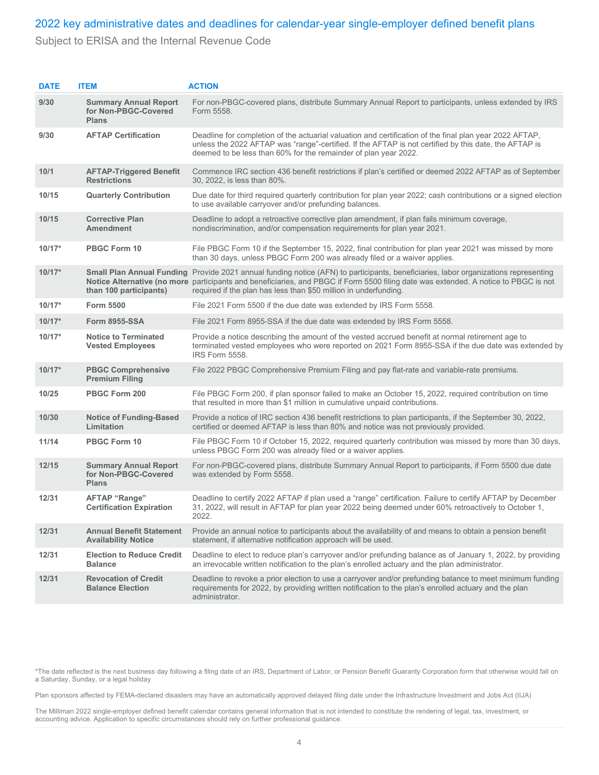#### 2022 key administrative dates and deadlines for calendar-year single-employer defined benefit plans

Subject to ERISA and the Internal Revenue Code

| <b>DATE</b> | <b>ITEM</b>                                                          | <b>ACTION</b>                                                                                                                                                                                                                                                                                                                                  |
|-------------|----------------------------------------------------------------------|------------------------------------------------------------------------------------------------------------------------------------------------------------------------------------------------------------------------------------------------------------------------------------------------------------------------------------------------|
| 9/30        | <b>Summary Annual Report</b><br>for Non-PBGC-Covered<br><b>Plans</b> | For non-PBGC-covered plans, distribute Summary Annual Report to participants, unless extended by IRS<br>Form 5558.                                                                                                                                                                                                                             |
| 9/30        | <b>AFTAP Certification</b>                                           | Deadline for completion of the actuarial valuation and certification of the final plan year 2022 AFTAP,<br>unless the 2022 AFTAP was "range"-certified. If the AFTAP is not certified by this date, the AFTAP is<br>deemed to be less than 60% for the remainder of plan year 2022.                                                            |
| 10/1        | <b>AFTAP-Triggered Benefit</b><br><b>Restrictions</b>                | Commence IRC section 436 benefit restrictions if plan's certified or deemed 2022 AFTAP as of September<br>30, 2022, is less than 80%.                                                                                                                                                                                                          |
| 10/15       | <b>Quarterly Contribution</b>                                        | Due date for third required quarterly contribution for plan year 2022; cash contributions or a signed election<br>to use available carryover and/or prefunding balances.                                                                                                                                                                       |
| 10/15       | <b>Corrective Plan</b><br><b>Amendment</b>                           | Deadline to adopt a retroactive corrective plan amendment, if plan fails minimum coverage,<br>nondiscrimination, and/or compensation requirements for plan year 2021.                                                                                                                                                                          |
| $10/17*$    | <b>PBGC Form 10</b>                                                  | File PBGC Form 10 if the September 15, 2022, final contribution for plan year 2021 was missed by more<br>than 30 days, unless PBGC Form 200 was already filed or a waiver applies.                                                                                                                                                             |
| $10/17*$    | than 100 participants)                                               | Small Plan Annual Funding Provide 2021 annual funding notice (AFN) to participants, beneficiaries, labor organizations representing<br>Notice Alternative (no more participants and beneficiaries, and PBGC if Form 5500 filing date was extended. A notice to PBGC is not<br>required if the plan has less than \$50 million in underfunding. |
| $10/17*$    | <b>Form 5500</b>                                                     | File 2021 Form 5500 if the due date was extended by IRS Form 5558.                                                                                                                                                                                                                                                                             |
| $10/17*$    | <b>Form 8955-SSA</b>                                                 | File 2021 Form 8955-SSA if the due date was extended by IRS Form 5558.                                                                                                                                                                                                                                                                         |
| $10/17*$    | <b>Notice to Terminated</b><br><b>Vested Employees</b>               | Provide a notice describing the amount of the vested accrued benefit at normal retirement age to<br>terminated vested employees who were reported on 2021 Form 8955-SSA if the due date was extended by<br><b>IRS Form 5558.</b>                                                                                                               |
| $10/17*$    | <b>PBGC Comprehensive</b><br><b>Premium Filing</b>                   | File 2022 PBGC Comprehensive Premium Filing and pay flat-rate and variable-rate premiums.                                                                                                                                                                                                                                                      |
| 10/25       | PBGC Form 200                                                        | File PBGC Form 200, if plan sponsor failed to make an October 15, 2022, required contribution on time<br>that resulted in more than \$1 million in cumulative unpaid contributions.                                                                                                                                                            |
| 10/30       | <b>Notice of Funding-Based</b><br>Limitation                         | Provide a notice of IRC section 436 benefit restrictions to plan participants, if the September 30, 2022,<br>certified or deemed AFTAP is less than 80% and notice was not previously provided.                                                                                                                                                |
| 11/14       | <b>PBGC Form 10</b>                                                  | File PBGC Form 10 if October 15, 2022, required quarterly contribution was missed by more than 30 days,<br>unless PBGC Form 200 was already filed or a waiver applies.                                                                                                                                                                         |
| 12/15       | <b>Summary Annual Report</b><br>for Non-PBGC-Covered<br><b>Plans</b> | For non-PBGC-covered plans, distribute Summary Annual Report to participants, if Form 5500 due date<br>was extended by Form 5558.                                                                                                                                                                                                              |
| 12/31       | <b>AFTAP "Range"</b><br><b>Certification Expiration</b>              | Deadline to certify 2022 AFTAP if plan used a "range" certification. Failure to certify AFTAP by December<br>31, 2022, will result in AFTAP for plan year 2022 being deemed under 60% retroactively to October 1,<br>2022.                                                                                                                     |
| 12/31       | <b>Annual Benefit Statement</b><br><b>Availability Notice</b>        | Provide an annual notice to participants about the availability of and means to obtain a pension benefit<br>statement, if alternative notification approach will be used.                                                                                                                                                                      |
| 12/31       | <b>Election to Reduce Credit</b><br><b>Balance</b>                   | Deadline to elect to reduce plan's carryover and/or prefunding balance as of January 1, 2022, by providing<br>an irrevocable written notification to the plan's enrolled actuary and the plan administrator.                                                                                                                                   |
| 12/31       | <b>Revocation of Credit</b><br><b>Balance Election</b>               | Deadline to revoke a prior election to use a carryover and/or prefunding balance to meet minimum funding<br>requirements for 2022, by providing written notification to the plan's enrolled actuary and the plan<br>administrator.                                                                                                             |

Plan sponsors affected by FEMA-declared disasters may have an automatically approved delayed filing date under the Infrastructure Investment and Jobs Act (IIJA)

<sup>\*</sup>The date reflected is the next business day following a filing date of an IRS, Department of Labor, or Pension Benefit Guaranty Corporation form that otherwise would fall on a Saturday, Sunday, or a legal holiday